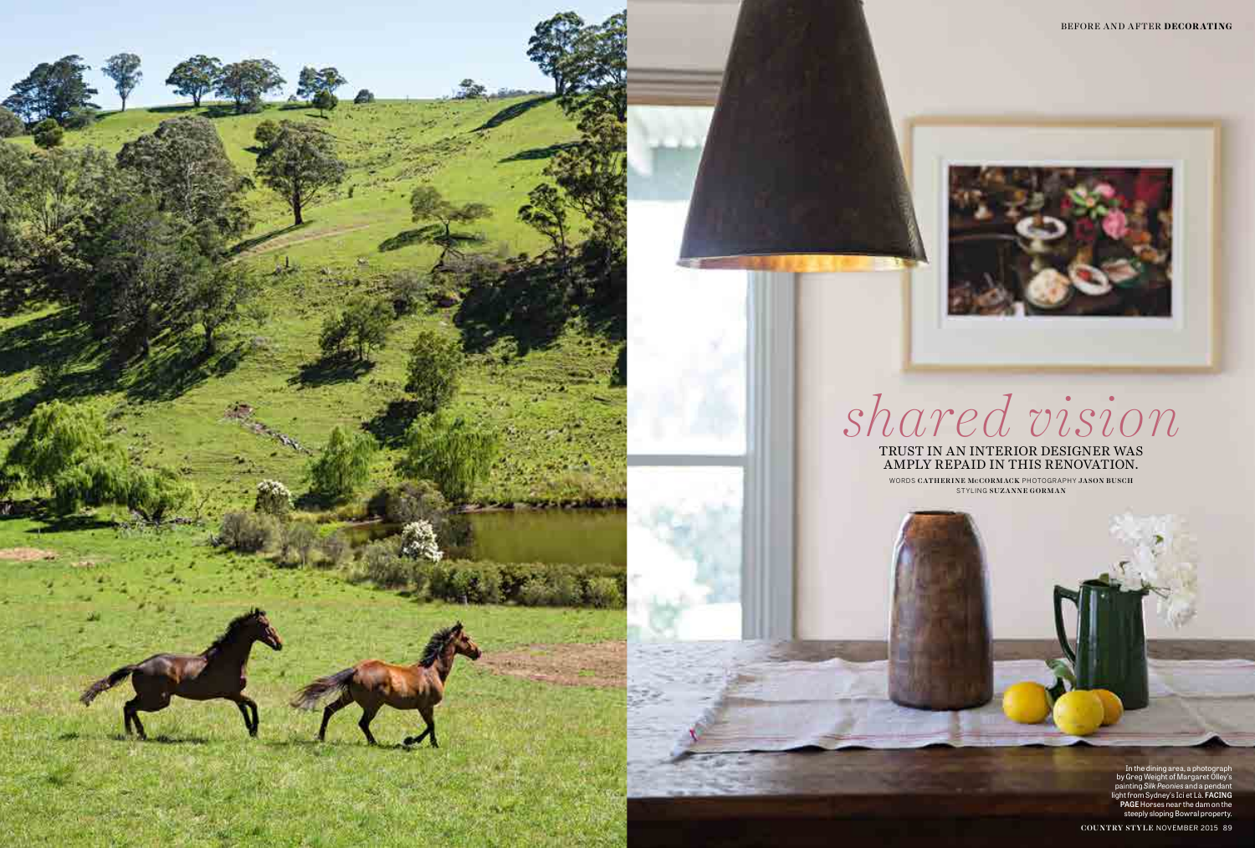

In the dining area, a photograph by Greg Weight of Margaret Olley's painting *Silk Peonies* and a pendant light from Sydney's Ici et Là. **FACING PAGE** Horses near the dam on the steeply sloping Bowral property.

COUNTRY STYLE NOVEMBER 2015 89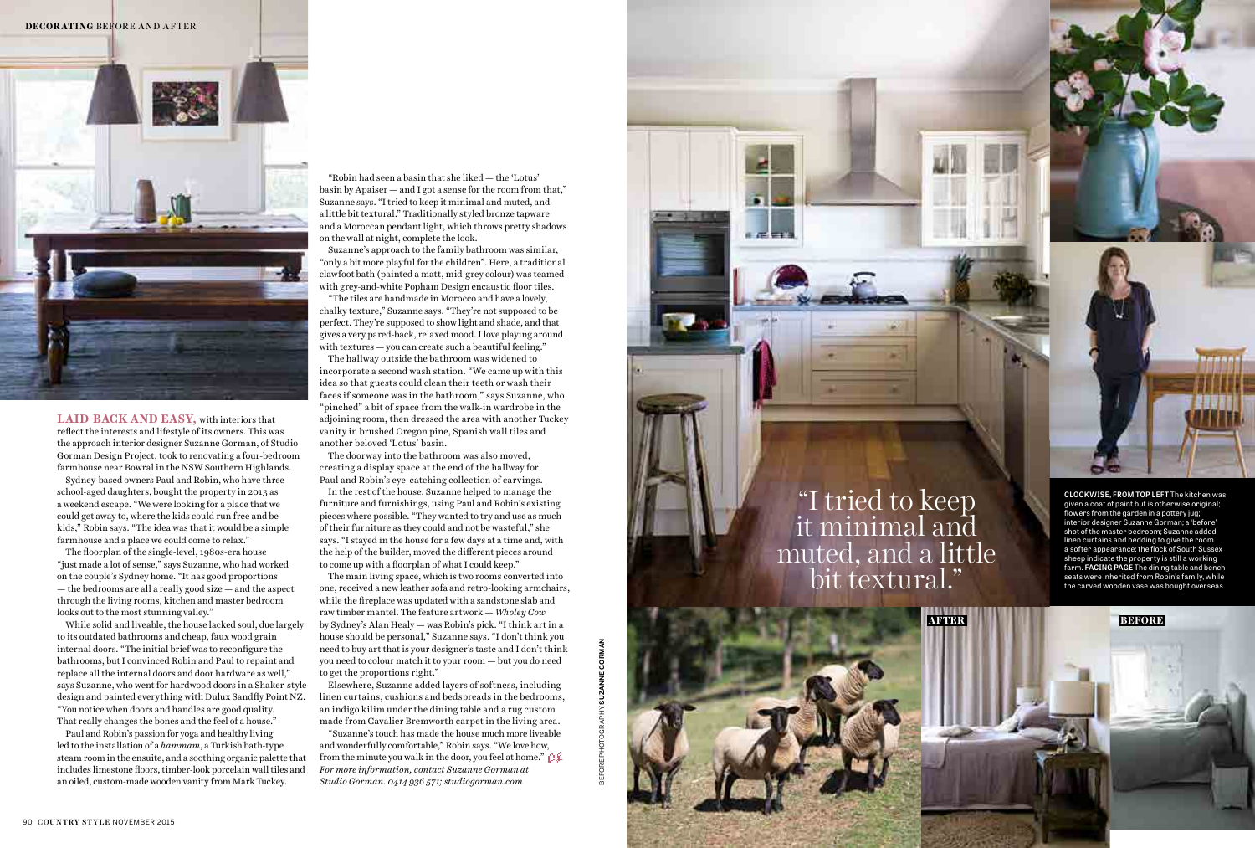**LAID-BACK AND EASY,** with interiors that reflect the interests and lifestyle of its owners. This was the approach interior designer Suzanne Gorman, of Studio Gorman Design Project, took to renovating a four-bedroom farmhouse near Bowral in the NSW Southern Highlands.

Sydney-based owners Paul and Robin, who have three school-aged daughters, bought the property in 2013 as a weekend escape. "We were looking for a place that we could get away to, where the kids could run free and be kids," Robin says. "The idea was that it would be a simple farmhouse and a place we could come to relax."

The floorplan of the single-level, 1980s-era house "just made a lot of sense," says Suzanne, who had worked on the couple's Sydney home. "It has good proportions — the bedrooms are all a really good size — and the aspect through the living rooms, kitchen and master bedroom looks out to the most stunning valley."

While solid and liveable, the house lacked soul, due largely to its outdated bathrooms and cheap, faux wood grain internal doors. "The initial brief was to reconfigure the bathrooms, but I convinced Robin and Paul to repaint and replace all the internal doors and door hardware as well," says Suzanne, who went for hardwood doors in a Shaker-style design and painted everything with Dulux Sandfly Point NZ. "You notice when doors and handles are good quality. That really changes the bones and the feel of a house."

Paul and Robin's passion for yoga and healthy living led to the installation of a *hammam*, a Turkish bath-type steam room in the ensuite, and a soothing organic palette that includes limestone floors, timber-look porcelain wall tiles and an oiled, custom-made wooden vanity from Mark Tuckey.

"Robin had seen a basin that she liked — the 'Lotus' basin by Apaiser — and I got a sense for the room from that," Suzanne says. "I tried to keep it minimal and muted, and a little bit textural." Traditionally styled bronze tapware and a Moroccan pendant light, which throws pretty shadows on the wall at night, complete the look.

Suzanne's approach to the family bathroom was similar, "only a bit more playful for the children". Here, a traditional clawfoot bath (painted a matt, mid-grey colour) was teamed with grey-and-white Popham Design encaustic floor tiles.

"The tiles are handmade in Morocco and have a lovely, chalky texture," Suzanne says. "They're not supposed to be perfect. They're supposed to show light and shade, and that gives a very pared-back, relaxed mood. I love playing around with textures — you can create such a beautiful feeling."

The hallway outside the bathroom was widened to incorporate a second wash station. "We came up with this idea so that guests could clean their teeth or wash their faces if someone was in the bathroom," says Suzanne, who "pinched" a bit of space from the walk-in wardrobe in the adjoining room, then dressed the area with another Tuckey vanity in brushed Oregon pine, Spanish wall tiles and another beloved 'Lotus' basin.

The doorway into the bathroom was also moved, creating a display space at the end of the hallway for Paul and Robin's eye-catching collection of carvings.

In the rest of the house, Suzanne helped to manage the furniture and furnishings, using Paul and Robin's existing pieces where possible. "They wanted to try and use as much of their furniture as they could and not be wasteful," she says. "I stayed in the house for a few days at a time and, with the help of the builder, moved the different pieces around to come up with a floorplan of what I could keep."

The main living space, which is two rooms converted into one, received a new leather sofa and retro-looking armchairs, while the fireplace was updated with a sandstone slab and raw timber mantel. The feature artwork — *Wholey Cow*  by Sydney's Alan Healy — was Robin's pick. "I think art in a house should be personal," Suzanne says. "I don't think you need to buy art that is your designer's taste and I don't think you need to colour match it to your room — but you do need to get the proportions right."

Elsewhere, Suzanne added layers of softness, including linen curtains, cushions and bedspreads in the bedrooms, an indigo kilim under the dining table and a rug custom made from Cavalier Bremworth carpet in the living area.

"Suzanne's touch has made the house much more liveable and wonderfully comfortable," Robin says. "We love how, from the minute you walk in the door, you feel at home."  $\mathbb{C}\mathcal{L}$ *For more information, contact Suzanne Gorman at Studio Gorman. 0414 936 571; studiogorman.com*





given a coat of paint but is otherwise original; flowers from the garden in a pottery jug; interior designer Suzanne Gorman; a 'before' shot of the master bedroom; Suzanne added linen curtains and bedding to give the room a softer appearance; the flock of South Sussex sheep indicate the property is still a working farm. **FACING PAGE** The dining table and bench seats were inherited from Robin's family, while the carved wooden vase was bought overseas.